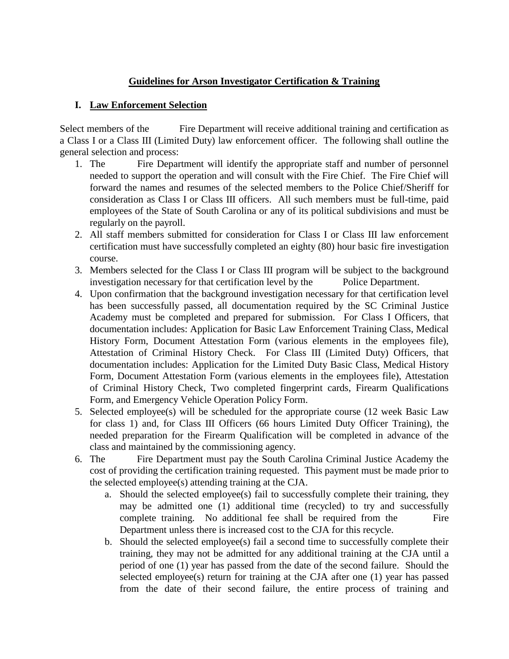## **Guidelines for Arson Investigator Certification & Training**

## **I. Law Enforcement Selection**

Select members of the Fire Department will receive additional training and certification as a Class I or a Class III (Limited Duty) law enforcement officer. The following shall outline the general selection and process:

- 1. The Fire Department will identify the appropriate staff and number of personnel needed to support the operation and will consult with the Fire Chief. The Fire Chief will forward the names and resumes of the selected members to the Police Chief/Sheriff for consideration as Class I or Class III officers. All such members must be full-time, paid employees of the State of South Carolina or any of its political subdivisions and must be regularly on the payroll.
- 2. All staff members submitted for consideration for Class I or Class III law enforcement certification must have successfully completed an eighty (80) hour basic fire investigation course.
- 3. Members selected for the Class I or Class III program will be subject to the background investigation necessary for that certification level by the Police Department.
- 4. Upon confirmation that the background investigation necessary for that certification level has been successfully passed, all documentation required by the SC Criminal Justice Academy must be completed and prepared for submission. For Class I Officers, that documentation includes: Application for Basic Law Enforcement Training Class, Medical History Form, Document Attestation Form (various elements in the employees file), Attestation of Criminal History Check. For Class III (Limited Duty) Officers, that documentation includes: Application for the Limited Duty Basic Class, Medical History Form, Document Attestation Form (various elements in the employees file), Attestation of Criminal History Check, Two completed fingerprint cards, Firearm Qualifications Form, and Emergency Vehicle Operation Policy Form.
- 5. Selected employee(s) will be scheduled for the appropriate course (12 week Basic Law for class 1) and, for Class III Officers (66 hours Limited Duty Officer Training), the needed preparation for the Firearm Qualification will be completed in advance of the class and maintained by the commissioning agency.
- 6. The Fire Department must pay the South Carolina Criminal Justice Academy the cost of providing the certification training requested. This payment must be made prior to the selected employee(s) attending training at the CJA.
	- a. Should the selected employee(s) fail to successfully complete their training, they may be admitted one (1) additional time (recycled) to try and successfully complete training. No additional fee shall be required from the Fire Department unless there is increased cost to the CJA for this recycle.
	- b. Should the selected employee(s) fail a second time to successfully complete their training, they may not be admitted for any additional training at the CJA until a period of one (1) year has passed from the date of the second failure. Should the selected employee(s) return for training at the CJA after one (1) year has passed from the date of their second failure, the entire process of training and